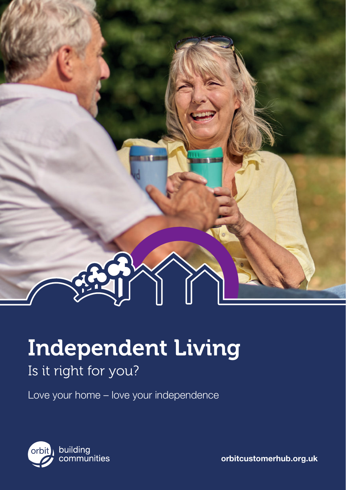

# Independent Living

# Is it right for you?

Love your home – love your independence



orbitcustomerhub.org.uk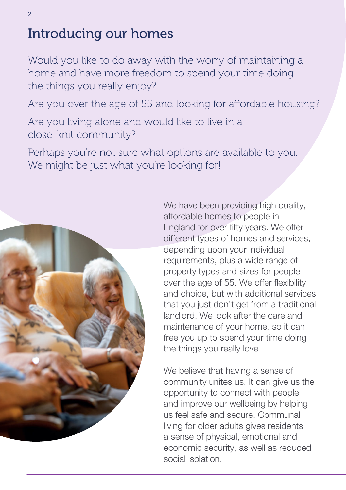# Introducing our homes

Would you like to do away with the worry of maintaining a home and have more freedom to spend your time doing the things you really enjoy?

Are you over the age of 55 and looking for affordable housing?

Are you living alone and would like to live in a close-knit community?

Perhaps you're not sure what options are available to you. We might be just what you're looking for!



We have been providing high quality, affordable homes to people in England for over fifty years. We offer different types of homes and services, depending upon your individual requirements, plus a wide range of property types and sizes for people over the age of 55. We offer flexibility and choice, but with additional services that you just don't get from a traditional landlord. We look after the care and maintenance of your home, so it can free you up to spend your time doing the things you really love.

We believe that having a sense of community unites us. It can give us the opportunity to connect with people and improve our wellbeing by helping us feel safe and secure. Communal living for older adults gives residents a sense of physical, emotional and economic security, as well as reduced social isolation.

 $\mathfrak{D}$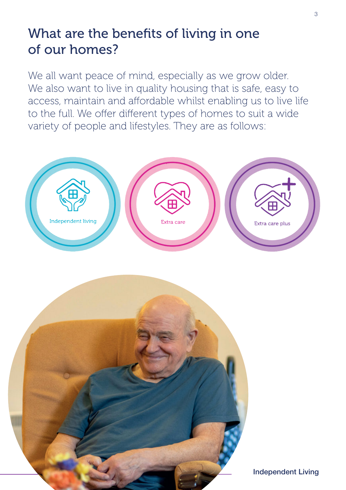### What are the benefits of living in one of our homes?

We all want peace of mind, especially as we grow older. We also want to live in quality housing that is safe, easy to access, maintain and affordable whilst enabling us to live life to the full. We offer different types of homes to suit a wide variety of people and lifestyles. They are as follows:



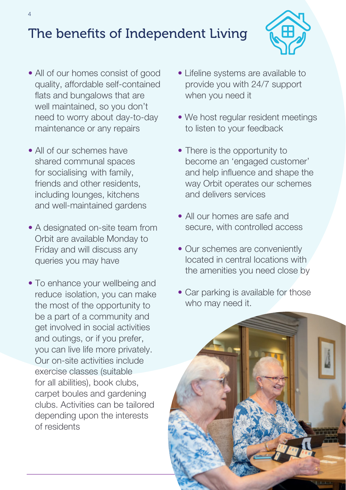# The benefits of Independent Living



- All of our homes consist of good quality, affordable self-contained flats and bungalows that are well maintained, so you don't need to worry about day-to-day maintenance or any repairs
- All of our schemes have shared communal spaces for socialising with family, friends and other residents, including lounges, kitchens and well-maintained gardens
- A designated on-site team from Orbit are available Monday to Friday and will discuss any queries you may have
- To enhance your wellbeing and reduce isolation, you can make the most of the opportunity to be a part of a community and get involved in social activities and outings, or if you prefer, you can live life more privately. Our on-site activities include exercise classes (suitable for all abilities), book clubs, carpet boules and gardening clubs. Activities can be tailored depending upon the interests of residents
- Lifeline systems are available to provide you with 24/7 support when you need it
- We host regular resident meetings to listen to your feedback
- There is the opportunity to become an 'engaged customer' and help influence and shape the way Orbit operates our schemes and delivers services
- All our homes are safe and secure, with controlled access
- Our schemes are conveniently located in central locations with the amenities you need close by
- Car parking is available for those who may need it.

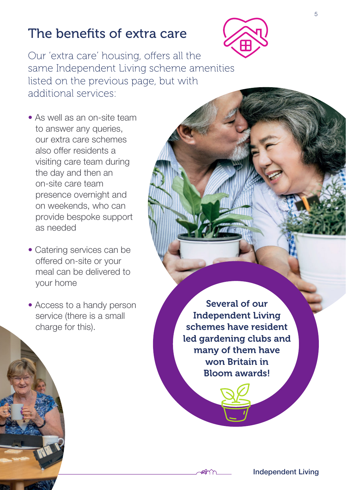### The benefits of extra care



Our 'extra care' housing, offers all the same Independent Living scheme amenities listed on the previous page, but with additional services:

- As well as an on-site team to answer any queries, our extra care schemes also offer residents a visiting care team during the day and then an on-site care team presence overnight and on weekends, who can provide bespoke support as needed
- Catering services can be offered on-site or your meal can be delivered to your home
- Access to a handy person service (there is a small charge for this).

Several of our Independent Living schemes have resident led gardening clubs and many of them have won Britain in Bloom awards!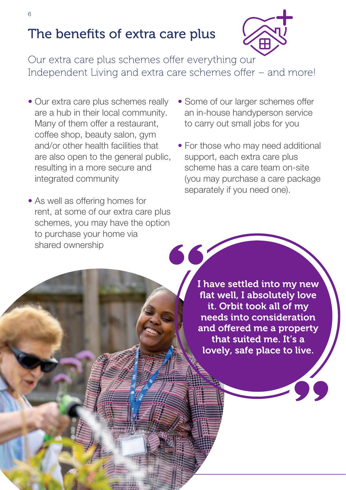## The benefits of extra care plus



Our extra care plus schemes offer everything our Independent Living and extra care schemes offer – and more!

- Our extra care plus schemes really are a hub in their local community. Many of them offer a restaurant, coffee shop, beauty salon, gym and/or other health facilities that are also open to the general public, resulting in a more secure and integrated community
- As well as offering homes for rent, at some of our extra care plus schemes, you may have the option to purchase your home via shared ownership
- Some of our larger schemes offer an in-house handyperson service to carry out small jobs for you
- For those who may need additional support, each extra care plus scheme has a care team on-site (you may purchase a care package separately if you need one).

I have settled into my new flat well, I absolutely love it. Orbit took all of my needs into consideration and offered me a property that suited me. It's a lovely, safe place to live.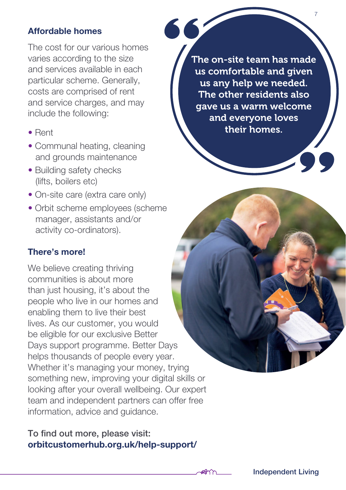#### Affordable homes

The cost for our various homes varies according to the size and services available in each particular scheme. Generally, costs are comprised of rent and service charges, and may include the following:

- Rent
- Communal heating, cleaning and grounds maintenance
- Building safety checks (lifts, boilers etc)
- On-site care (extra care only)
- Orbit scheme employees (scheme manager, assistants and/or activity co-ordinators).

#### There's more!

We believe creating thriving communities is about more than just housing, it's about the people who live in our homes and enabling them to live their best lives. As our customer, you would be eligible for our exclusive Better Days support programme. Better Days helps thousands of people every year. Whether it's managing your money, trying something new, improving your digital skills or looking after your overall wellbeing. Our expert team and independent partners can offer free information, advice and guidance.

#### To find out more, please visit: orbitcustomerhub.org.uk/help-support/

The on-site team has made us comfortable and given us any help we needed. The other residents also gave us a warm welcome and everyone loves their homes.